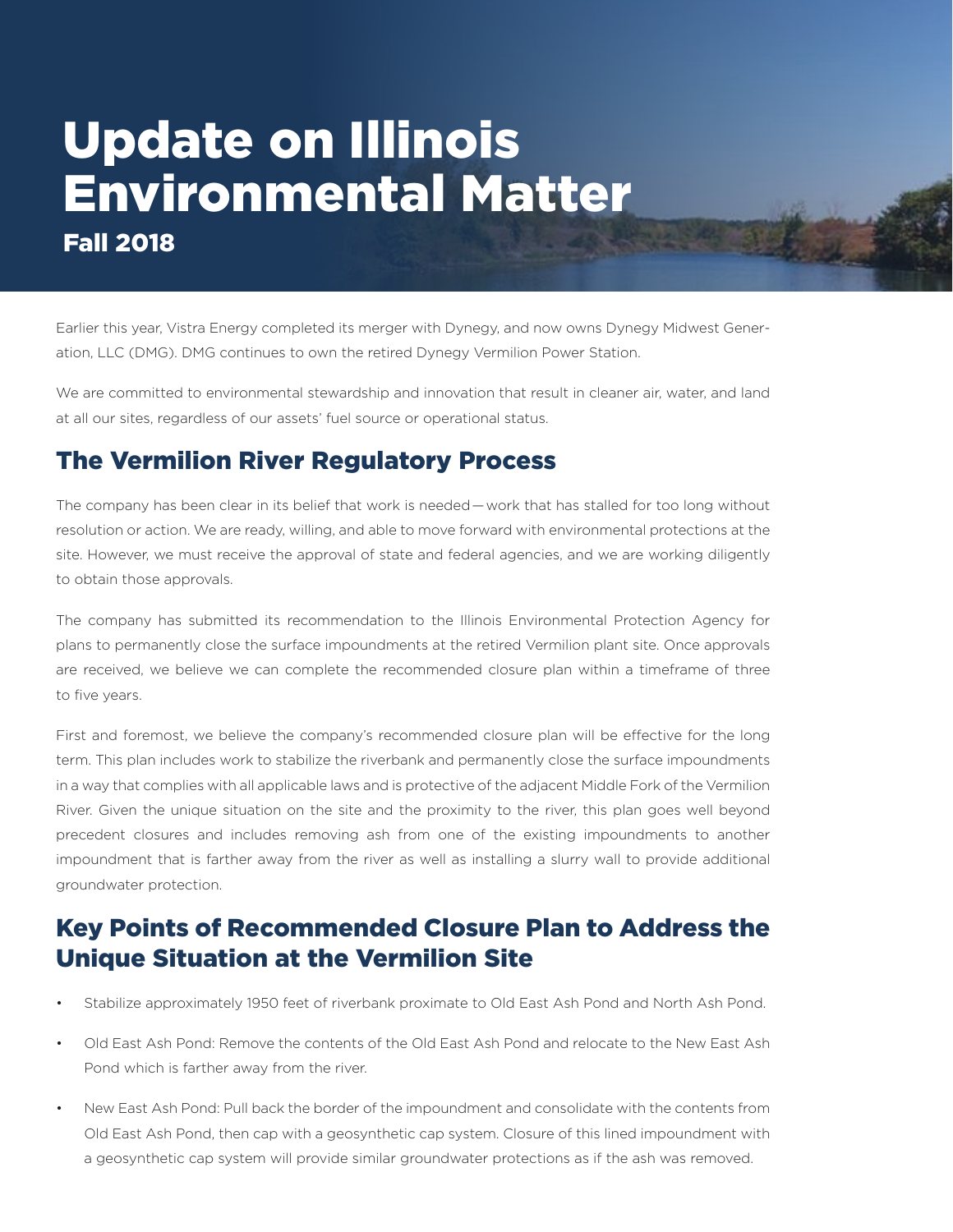## Update on Illinois Environmental Matter Fall 2018

Earlier this year, Vistra Energy completed its merger with Dynegy, and now owns Dynegy Midwest Generation, LLC (DMG). DMG continues to own the retired Dynegy Vermilion Power Station.

We are committed to environmental stewardship and innovation that result in cleaner air, water, and land at all our sites, regardless of our assets' fuel source or operational status.

## The Vermilion River Regulatory Process

The company has been clear in its belief that work is needed—work that has stalled for too long without resolution or action. We are ready, willing, and able to move forward with environmental protections at the site. However, we must receive the approval of state and federal agencies, and we are working diligently to obtain those approvals.

The company has submitted its recommendation to the Illinois Environmental Protection Agency for plans to permanently close the surface impoundments at the retired Vermilion plant site. Once approvals are received, we believe we can complete the recommended closure plan within a timeframe of three to five years.

First and foremost, we believe the company's recommended closure plan will be effective for the long term. This plan includes work to stabilize the riverbank and permanently close the surface impoundments in a way that complies with all applicable laws and is protective of the adjacent Middle Fork of the Vermilion River. Given the unique situation on the site and the proximity to the river, this plan goes well beyond precedent closures and includes removing ash from one of the existing impoundments to another impoundment that is farther away from the river as well as installing a slurry wall to provide additional groundwater protection.

## Key Points of Recommended Closure Plan to Address the Unique Situation at the Vermilion Site

- Stabilize approximately 1950 feet of riverbank proximate to Old East Ash Pond and North Ash Pond.
- Old East Ash Pond: Remove the contents of the Old East Ash Pond and relocate to the New East Ash Pond which is farther away from the river.
- New East Ash Pond: Pull back the border of the impoundment and consolidate with the contents from Old East Ash Pond, then cap with a geosynthetic cap system. Closure of this lined impoundment with a geosynthetic cap system will provide similar groundwater protections as if the ash was removed.